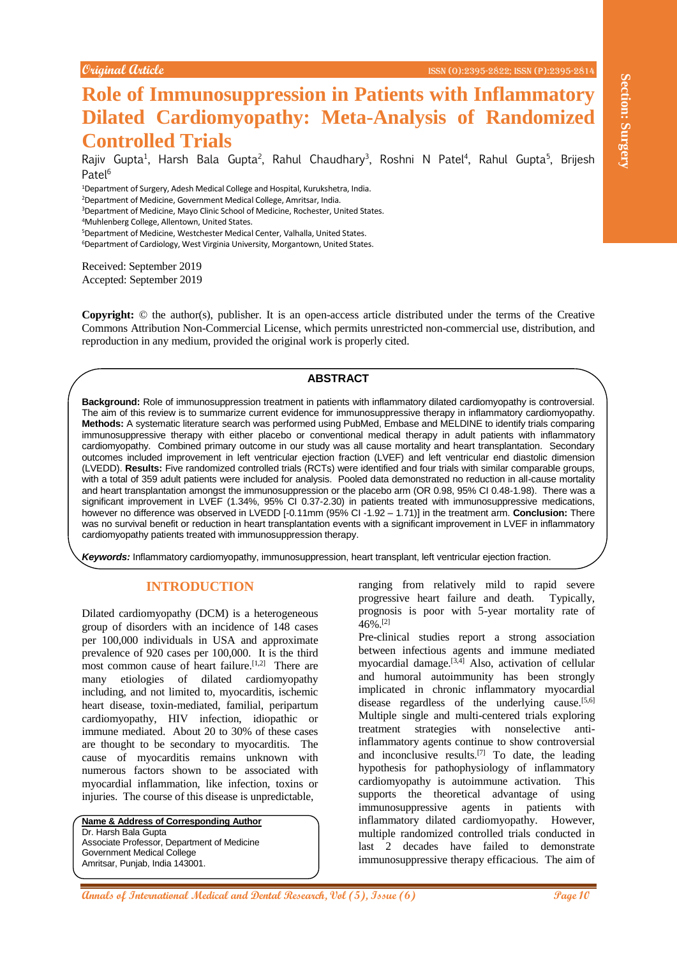# **Role of Immunosuppression in Patients with Inflammatory Dilated Cardiomyopathy: Meta-Analysis of Randomized Controlled Trials**

Rajiv Gupta<sup>1</sup>, Harsh Bala Gupta<sup>2</sup>, Rahul Chaudhary<sup>3</sup>, Roshni N Patel<sup>4</sup>, Rahul Gupta<sup>5</sup>, Brijesh Patel<sup>6</sup>

<sup>1</sup>Department of Surgery, Adesh Medical College and Hospital, Kurukshetra, India.

<sup>2</sup>Department of Medicine, Government Medical College, Amritsar, India.

<sup>3</sup>Department of Medicine, Mayo Clinic School of Medicine, Rochester, United States.

<sup>4</sup>Muhlenberg College, Allentown, United States.

<sup>5</sup>Department of Medicine, Westchester Medical Center, Valhalla, United States.

<sup>6</sup>Department of Cardiology, West Virginia University, Morgantown, United States.

Received: September 2019 Accepted: September 2019

**Copyright:** © the author(s), publisher. It is an open-access article distributed under the terms of the Creative Commons Attribution Non-Commercial License, which permits unrestricted non-commercial use, distribution, and reproduction in any medium, provided the original work is properly cited.

## **ABSTRACT**

**Analysis of International Research, 100 Controller Controller Controller Controller Controller Controller Controller Controller Controller Controller Controller Controller Controller Controller Controller Controller Con Background:** Role of immunosuppression treatment in patients with inflammatory dilated cardiomyopathy is controversial. The aim of this review is to summarize current evidence for immunosuppressive therapy in inflammatory cardiomyopathy. **Methods:** A systematic literature search was performed using PubMed, Embase and MELDINE to identify trials comparing immunosuppressive therapy with either placebo or conventional medical therapy in adult patients with inflammatory cardiomyopathy. Combined primary outcome in our study was all cause mortality and heart transplantation. Secondary outcomes included improvement in left ventricular ejection fraction (LVEF) and left ventricular end diastolic dimension (LVEDD). **Results:** Five randomized controlled trials (RCTs) were identified and four trials with similar comparable groups, with a total of 359 adult patients were included for analysis. Pooled data demonstrated no reduction in all-cause mortality and heart transplantation amongst the immunosuppression or the placebo arm (OR 0.98, 95% CI 0.48-1.98). There was a significant improvement in LVEF (1.34%, 95% CI 0.37-2.30) in patients treated with immunosuppressive medications, however no difference was observed in LVEDD [-0.11mm (95% CI -1.92 – 1.71)] in the treatment arm. **Conclusion:** There was no survival benefit or reduction in heart transplantation events with a significant improvement in LVEF in inflammatory cardiomyopathy patients treated with immunosuppression therapy.

*Keywords:* Inflammatory cardiomyopathy, immunosuppression, heart transplant, left ventricular ejection fraction.

# **INTRODUCTION**

Dilated cardiomyopathy (DCM) is a heterogeneous group of disorders with an incidence of 148 cases per 100,000 individuals in USA and approximate prevalence of 920 cases per 100,000. It is the third most common cause of heart failure.<sup>[1,2]</sup> There are many etiologies of dilated cardiomyopathy including, and not limited to, myocarditis, ischemic heart disease, toxin-mediated, familial, peripartum cardiomyopathy, HIV infection, idiopathic or immune mediated. About 20 to 30% of these cases are thought to be secondary to myocarditis. The cause of myocarditis remains unknown with numerous factors shown to be associated with myocardial inflammation, like infection, toxins or injuries. The course of this disease is unpredictable,

**Name & Address of Corresponding Author** Dr. Harsh Bala Gupta Associate Professor, Department of Medicine Government Medical College Amritsar, Punjab, India 143001.

ranging from relatively mild to rapid severe progressive heart failure and death. Typically, prognosis is poor with 5-year mortality rate of 46%.[2]

Pre-clinical studies report a strong association between infectious agents and immune mediated myocardial damage.<sup>[3,4]</sup> Also, activation of cellular and humoral autoimmunity has been strongly implicated in chronic inflammatory myocardial disease regardless of the underlying cause.<sup>[5,6]</sup> Multiple single and multi-centered trials exploring treatment strategies with nonselective antiinflammatory agents continue to show controversial and inconclusive results.<sup>[7]</sup> To date, the leading hypothesis for pathophysiology of inflammatory cardiomyopathy is autoimmune activation. This supports the theoretical advantage of using immunosuppressive agents in patients with inflammatory dilated cardiomyopathy. However, multiple randomized controlled trials conducted in last 2 decades have failed to demonstrate immunosuppressive therapy efficacious. The aim of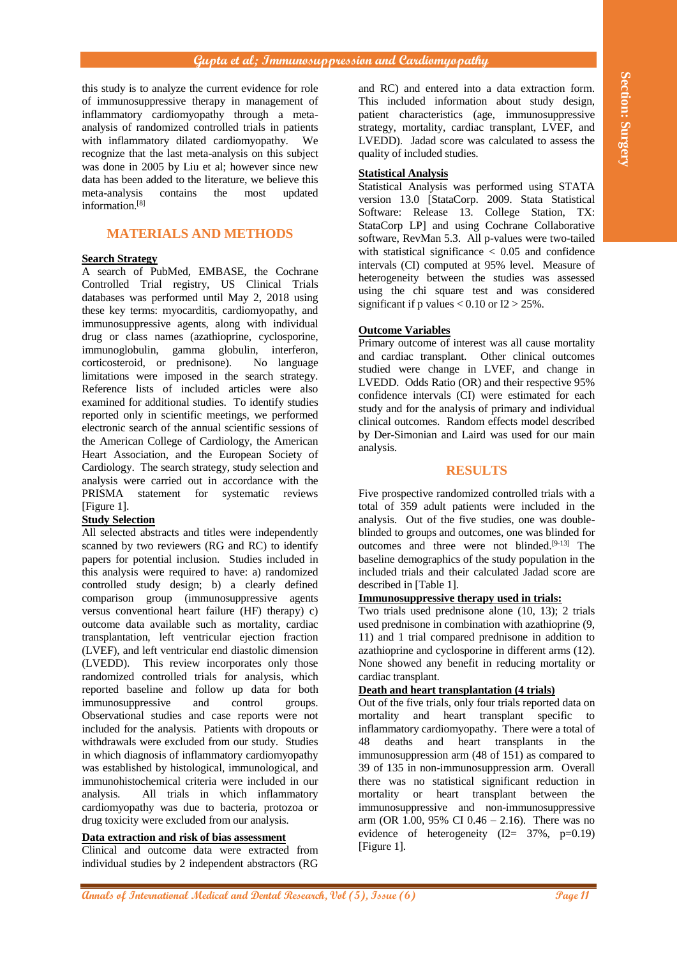# **Gupta et al; Immunosuppression and Cardiomyopathy**

this study is to analyze the current evidence for role of immunosuppressive therapy in management of inflammatory cardiomyopathy through a metaanalysis of randomized controlled trials in patients with inflammatory dilated cardiomyopathy. We recognize that the last meta-analysis on this subject was done in 2005 by Liu et al; however since new data has been added to the literature, we believe this meta-analysis contains the most updated information.[8]

# **MATERIALS AND METHODS**

#### **Search Strategy**

A search of PubMed, EMBASE, the Cochrane Controlled Trial registry, US Clinical Trials databases was performed until May 2, 2018 using these key terms: myocarditis, cardiomyopathy, and immunosuppressive agents, along with individual drug or class names (azathioprine, cyclosporine, immunoglobulin, gamma globulin, interferon, corticosteroid, or prednisone). No language limitations were imposed in the search strategy. Reference lists of included articles were also examined for additional studies. To identify studies reported only in scientific meetings, we performed electronic search of the annual scientific sessions of the American College of Cardiology, the American Heart Association, and the European Society of Cardiology. The search strategy, study selection and analysis were carried out in accordance with the PRISMA statement for systematic reviews [Figure 1].

# **Study Selection**

**By the main of the main continue of the section and Dental and the section and the section and Dental Annual Annual Annual Annual Annual Annual Annual Annual Annual Annual Annual Annual Annual Annual Annual Annual Annual** All selected abstracts and titles were independently scanned by two reviewers (RG and RC) to identify papers for potential inclusion. Studies included in this analysis were required to have: a) randomized controlled study design; b) a clearly defined comparison group (immunosuppressive agents versus conventional heart failure (HF) therapy) c) outcome data available such as mortality, cardiac transplantation, left ventricular ejection fraction (LVEF), and left ventricular end diastolic dimension (LVEDD). This review incorporates only those randomized controlled trials for analysis, which reported baseline and follow up data for both immunosuppressive and control groups. Observational studies and case reports were not included for the analysis. Patients with dropouts or withdrawals were excluded from our study. Studies in which diagnosis of inflammatory cardiomyopathy was established by histological, immunological, and immunohistochemical criteria were included in our analysis. All trials in which inflammatory cardiomyopathy was due to bacteria, protozoa or drug toxicity were excluded from our analysis.

# **Data extraction and risk of bias assessment**

Clinical and outcome data were extracted from individual studies by 2 independent abstractors (RG

and RC) and entered into a data extraction form. This included information about study design, patient characteristics (age, immunosuppressive strategy, mortality, cardiac transplant, LVEF, and LVEDD). Jadad score was calculated to assess the quality of included studies.

# **Statistical Analysis**

Statistical Analysis was performed using STATA version 13.0 [StataCorp. 2009. Stata Statistical Software: Release 13. College Station, TX: StataCorp LP] and using Cochrane Collaborative software, RevMan 5.3. All p-values were two-tailed with statistical significance  $< 0.05$  and confidence intervals (CI) computed at 95% level. Measure of heterogeneity between the studies was assessed using the chi square test and was considered significant if p values  $< 0.10$  or  $I2 > 25$ %.

## **Outcome Variables**

Primary outcome of interest was all cause mortality and cardiac transplant. Other clinical outcomes studied were change in LVEF, and change in LVEDD. Odds Ratio (OR) and their respective 95% confidence intervals (CI) were estimated for each study and for the analysis of primary and individual clinical outcomes. Random effects model described by Der-Simonian and Laird was used for our main analysis.

#### **RESULTS**

Five prospective randomized controlled trials with a total of 359 adult patients were included in the analysis. Out of the five studies, one was doubleblinded to groups and outcomes, one was blinded for outcomes and three were not blinded.<sup>[9-13]</sup> The baseline demographics of the study population in the included trials and their calculated Jadad score are described in [Table 1].

# **Immunosuppressive therapy used in trials:**

Two trials used prednisone alone (10, 13); 2 trials used prednisone in combination with azathioprine (9, 11) and 1 trial compared prednisone in addition to azathioprine and cyclosporine in different arms (12). None showed any benefit in reducing mortality or cardiac transplant.

#### **Death and heart transplantation (4 trials)**

Out of the five trials, only four trials reported data on mortality and heart transplant specific to inflammatory cardiomyopathy. There were a total of 48 deaths and heart transplants in the immunosuppression arm (48 of 151) as compared to 39 of 135 in non-immunosuppression arm. Overall there was no statistical significant reduction in mortality or heart transplant between the immunosuppressive and non-immunosuppressive arm (OR 1.00, 95% CI 0.46 – 2.16). There was no evidence of heterogeneity  $(I2 = 37\%, p=0.19)$ [Figure 1].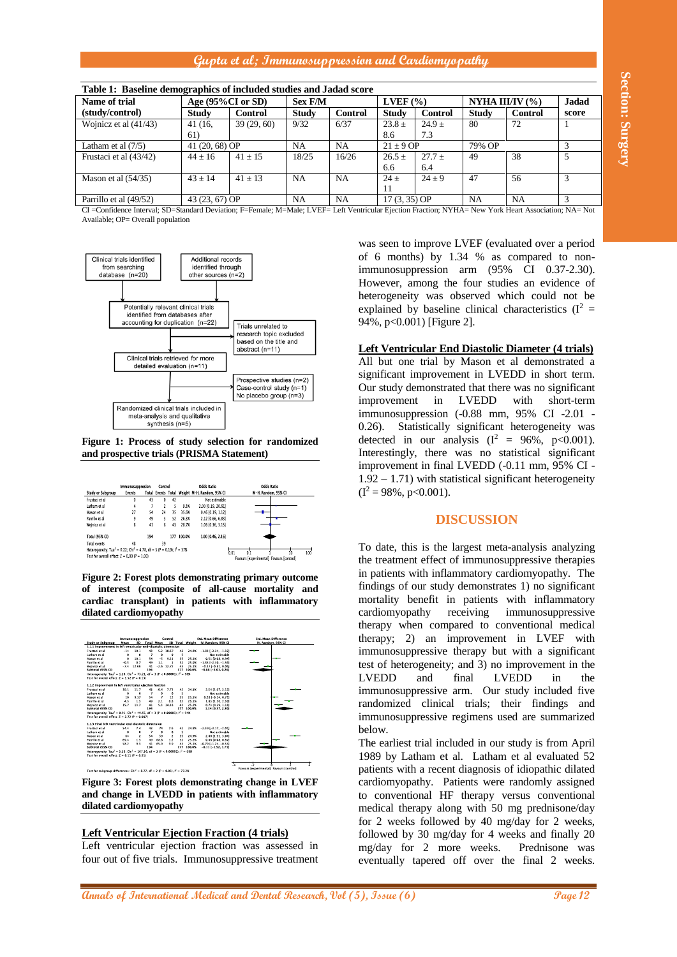# **Gupta et al; Immunosuppression and Cardiomyopathy**



#### **Figure 1: Process of study selection for randomized and prospective trials (PRISMA Statement)**

|                                                                                                 | Immunosuppresion |     | Control |     | <b>Odds Ratio</b> |                                               | <b>Odds Ratio</b>                              |
|-------------------------------------------------------------------------------------------------|------------------|-----|---------|-----|-------------------|-----------------------------------------------|------------------------------------------------|
| <b>Study or Subgroup</b>                                                                        | <b>Events</b>    |     |         |     |                   | Total Events Total Weight M-H, Random, 95% CI | M-H, Random, 95% CI                            |
| Frustaci et al                                                                                  | $\theta$         | 43  | 0       | 42  |                   | Not estimable                                 |                                                |
| Latham et al                                                                                    | 4                |     |         |     | 9.3%              | 2.00 [0.19, 20.61]                            |                                                |
| Mason et al                                                                                     | 27               | 54  | 24      | 35  | 35.6%             | $0.46$ [0.19, 1.12]                           |                                                |
| Parrillo et al                                                                                  | 9                | 49  | 5       | 52  | 26.3%             | 2.12 [0.66, 6.83]                             |                                                |
| Woinicz et al                                                                                   | 8                | 41  | 8       | 43  | 28.7%             | 1.06 [0.36, 3.15]                             |                                                |
| Total (95% CI)                                                                                  |                  | 194 |         | 177 | 100.0%            | 1.00 [0.46, 2.16]                             |                                                |
| Total events                                                                                    | 48               |     | 39      |     |                   |                                               |                                                |
| Heterogeneity: Tau <sup>2</sup> = 0.22; Chi <sup>2</sup> = 4.78, df = 3 (P = 0.19); $I^2$ = 37% |                  |     |         |     |                   |                                               | 0.01<br>100                                    |
| Test for overall effect: $Z = 0.00$ (P = 1.00)                                                  |                  |     |         |     |                   |                                               | 10<br>Favours lexperimental) Favours lcontroll |



## **Left Ventricular Ejection Fraction (4 trials)**

## **Left Ventricular End Diastolic Diameter (4 trials)**

# **DISCUSSION**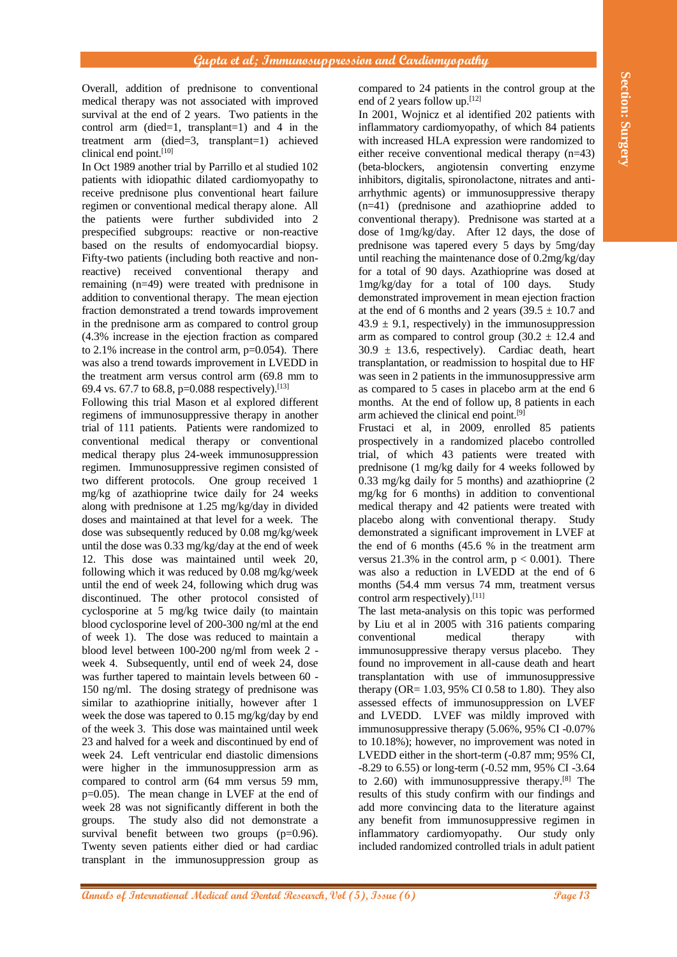Overall, addition of prednisone to conventional medical therapy was not associated with improved survival at the end of 2 years. Two patients in the control arm (died=1, transplant=1) and 4 in the treatment arm (died=3, transplant=1) achieved clinical end point. [10]

In Oct 1989 another trial by Parrillo et al studied 102 patients with idiopathic dilated cardiomyopathy to receive prednisone plus conventional heart failure regimen or conventional medical therapy alone. All the patients were further subdivided into 2 prespecified subgroups: reactive or non-reactive based on the results of endomyocardial biopsy. Fifty-two patients (including both reactive and nonreactive) received conventional therapy and remaining (n=49) were treated with prednisone in addition to conventional therapy. The mean ejection fraction demonstrated a trend towards improvement in the prednisone arm as compared to control group (4.3% increase in the ejection fraction as compared to  $2.1\%$  increase in the control arm,  $p=0.054$ ). There was also a trend towards improvement in LVEDD in the treatment arm versus control arm (69.8 mm to 69.4 vs. 67.7 to 68.8, p=0.088 respectively). [13]

**Annuals of the control of the section of the section of the section of the section of the set of Section of the set of Section of the set of Section of the set of Section of the set of Section of the set of Section of th** Following this trial Mason et al explored different regimens of immunosuppressive therapy in another trial of 111 patients. Patients were randomized to conventional medical therapy or conventional medical therapy plus 24-week immunosuppression regimen. Immunosuppressive regimen consisted of two different protocols. One group received 1 mg/kg of azathioprine twice daily for 24 weeks along with prednisone at 1.25 mg/kg/day in divided doses and maintained at that level for a week. The dose was subsequently reduced by 0.08 mg/kg/week until the dose was 0.33 mg/kg/day at the end of week 12. This dose was maintained until week 20, following which it was reduced by 0.08 mg/kg/week until the end of week 24, following which drug was discontinued. The other protocol consisted of cyclosporine at 5 mg/kg twice daily (to maintain blood cyclosporine level of 200-300 ng/ml at the end of week 1). The dose was reduced to maintain a blood level between 100-200 ng/ml from week 2 week 4. Subsequently, until end of week 24, dose was further tapered to maintain levels between 60 - 150 ng/ml. The dosing strategy of prednisone was similar to azathioprine initially, however after 1 week the dose was tapered to 0.15 mg/kg/day by end of the week 3. This dose was maintained until week 23 and halved for a week and discontinued by end of week 24. Left ventricular end diastolic dimensions were higher in the immunosuppression arm as compared to control arm (64 mm versus 59 mm, p=0.05). The mean change in LVEF at the end of week 28 was not significantly different in both the groups. The study also did not demonstrate a survival benefit between two groups (p=0.96). Twenty seven patients either died or had cardiac transplant in the immunosuppression group as

compared to 24 patients in the control group at the end of 2 years follow up.[12]

In 2001, Wojnicz et al identified 202 patients with inflammatory cardiomyopathy, of which 84 patients with increased HLA expression were randomized to either receive conventional medical therapy (n=43) (beta-blockers, angiotensin converting enzyme inhibitors, digitalis, spironolactone, nitrates and antiarrhythmic agents) or immunosuppressive therapy (n=41) (prednisone and azathioprine added to conventional therapy). Prednisone was started at a dose of 1mg/kg/day. After 12 days, the dose of prednisone was tapered every 5 days by 5mg/day until reaching the maintenance dose of 0.2mg/kg/day for a total of 90 days. Azathioprine was dosed at 1mg/kg/day for a total of 100 days. Study demonstrated improvement in mean ejection fraction at the end of 6 months and 2 years  $(39.5 \pm 10.7)$  and  $43.9 \pm 9.1$ , respectively) in the immunosuppression arm as compared to control group  $(30.2 \pm 12.4$  and  $30.9 \pm 13.6$ , respectively). Cardiac death, heart transplantation, or readmission to hospital due to HF was seen in 2 patients in the immunosuppressive arm as compared to 5 cases in placebo arm at the end 6 months. At the end of follow up, 8 patients in each arm achieved the clinical end point. [9]

Frustaci et al, in 2009, enrolled 85 patients prospectively in a randomized placebo controlled trial, of which 43 patients were treated with prednisone (1 mg/kg daily for 4 weeks followed by 0.33 mg/kg daily for 5 months) and azathioprine (2 mg/kg for 6 months) in addition to conventional medical therapy and 42 patients were treated with placebo along with conventional therapy. Study demonstrated a significant improvement in LVEF at the end of 6 months (45.6 % in the treatment arm versus 21.3% in the control arm,  $p < 0.001$ ). There was also a reduction in LVEDD at the end of 6 months (54.4 mm versus 74 mm, treatment versus control arm respectively).<sup>[11]</sup>

The last meta-analysis on this topic was performed by Liu et al in 2005 with 316 patients comparing conventional medical therapy with immunosuppressive therapy versus placebo. They found no improvement in all-cause death and heart transplantation with use of immunosuppressive therapy (OR= 1.03, 95% CI 0.58 to 1.80). They also assessed effects of immunosuppression on LVEF and LVEDD. LVEF was mildly improved with immunosuppressive therapy (5.06%, 95% CI -0.07% to 10.18%); however, no improvement was noted in LVEDD either in the short-term (-0.87 mm; 95% CI, -8.29 to 6.55) or long-term (-0.52 mm, 95% CI -3.64 to 2.60) with immunosuppressive therapy. [8] The results of this study confirm with our findings and add more convincing data to the literature against any benefit from immunosuppressive regimen in inflammatory cardiomyopathy. Our study only included randomized controlled trials in adult patient